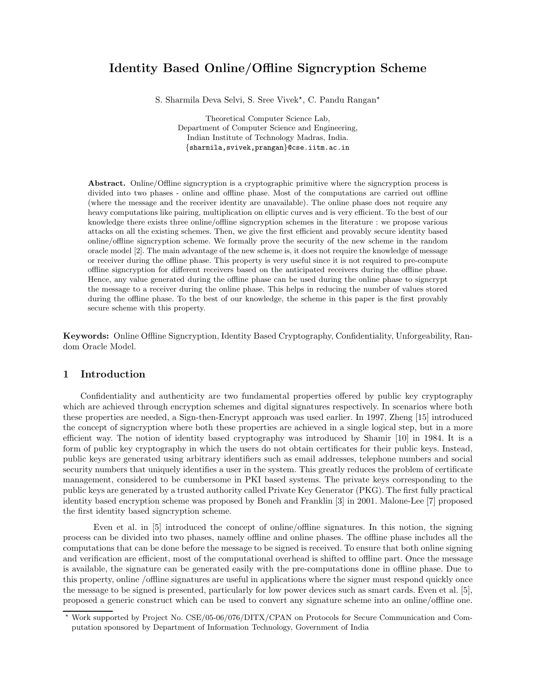# Identity Based Online/Offline Signcryption Scheme

S. Sharmila Deva Selvi, S. Sree Vivek\*, C. Pandu Rangan\*

Theoretical Computer Science Lab, Department of Computer Science and Engineering, Indian Institute of Technology Madras, India. {sharmila,svivek,prangan}@cse.iitm.ac.in

Abstract. Online/Offline signcryption is a cryptographic primitive where the signcryption process is divided into two phases - online and offline phase. Most of the computations are carried out offline (where the message and the receiver identity are unavailable). The online phase does not require any heavy computations like pairing, multiplication on elliptic curves and is very efficient. To the best of our knowledge there exists three online/offline signcryption schemes in the literature : we propose various attacks on all the existing schemes. Then, we give the first efficient and provably secure identity based online/offline signcryption scheme. We formally prove the security of the new scheme in the random oracle model [2]. The main advantage of the new scheme is, it does not require the knowledge of message or receiver during the offline phase. This property is very useful since it is not required to pre-compute offline signcryption for different receivers based on the anticipated receivers during the offline phase. Hence, any value generated during the offline phase can be used during the online phase to signcrypt the message to a receiver during the online phase. This helps in reducing the number of values stored during the offline phase. To the best of our knowledge, the scheme in this paper is the first provably secure scheme with this property.

Keywords: Online Offline Signcryption, Identity Based Cryptography, Confidentiality, Unforgeability, Random Oracle Model.

# 1 Introduction

Confidentiality and authenticity are two fundamental properties offered by public key cryptography which are achieved through encryption schemes and digital signatures respectively. In scenarios where both these properties are needed, a Sign-then-Encrypt approach was used earlier. In 1997, Zheng [15] introduced the concept of signcryption where both these properties are achieved in a single logical step, but in a more efficient way. The notion of identity based cryptography was introduced by Shamir [10] in 1984. It is a form of public key cryptography in which the users do not obtain certificates for their public keys. Instead, public keys are generated using arbitrary identifiers such as email addresses, telephone numbers and social security numbers that uniquely identifies a user in the system. This greatly reduces the problem of certificate management, considered to be cumbersome in PKI based systems. The private keys corresponding to the public keys are generated by a trusted authority called Private Key Generator (PKG). The first fully practical identity based encryption scheme was proposed by Boneh and Franklin [3] in 2001. Malone-Lee [7] proposed the first identity based signcryption scheme.

Even et al. in [5] introduced the concept of online/offline signatures. In this notion, the signing process can be divided into two phases, namely offline and online phases. The offline phase includes all the computations that can be done before the message to be signed is received. To ensure that both online signing and verification are efficient, most of the computational overhead is shifted to offline part. Once the message is available, the signature can be generated easily with the pre-computations done in offline phase. Due to this property, online /offline signatures are useful in applications where the signer must respond quickly once the message to be signed is presented, particularly for low power devices such as smart cards. Even et al. [5], proposed a generic construct which can be used to convert any signature scheme into an online/offline one.

<sup>⋆</sup> Work supported by Project No. CSE/05-06/076/DITX/CPAN on Protocols for Secure Communication and Computation sponsored by Department of Information Technology, Government of India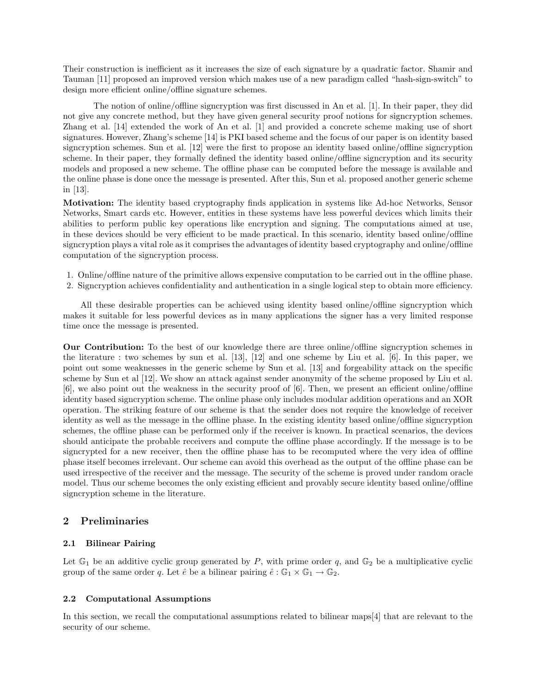Their construction is inefficient as it increases the size of each signature by a quadratic factor. Shamir and Tauman [11] proposed an improved version which makes use of a new paradigm called "hash-sign-switch" to design more efficient online/offline signature schemes.

The notion of online/offline signcryption was first discussed in An et al. [1]. In their paper, they did not give any concrete method, but they have given general security proof notions for signcryption schemes. Zhang et al. [14] extended the work of An et al. [1] and provided a concrete scheme making use of short signatures. However, Zhang's scheme [14] is PKI based scheme and the focus of our paper is on identity based signcryption schemes. Sun et al. [12] were the first to propose an identity based online/offline signcryption scheme. In their paper, they formally defined the identity based online/offline signcryption and its security models and proposed a new scheme. The offline phase can be computed before the message is available and the online phase is done once the message is presented. After this, Sun et al. proposed another generic scheme in [13].

Motivation: The identity based cryptography finds application in systems like Ad-hoc Networks, Sensor Networks, Smart cards etc. However, entities in these systems have less powerful devices which limits their abilities to perform public key operations like encryption and signing. The computations aimed at use, in these devices should be very efficient to be made practical. In this scenario, identity based online/offline signcryption plays a vital role as it comprises the advantages of identity based cryptography and online/offline computation of the signcryption process.

- 1. Online/offline nature of the primitive allows expensive computation to be carried out in the offline phase.
- 2. Signcryption achieves confidentiality and authentication in a single logical step to obtain more efficiency.

All these desirable properties can be achieved using identity based online/offline signcryption which makes it suitable for less powerful devices as in many applications the signer has a very limited response time once the message is presented.

Our Contribution: To the best of our knowledge there are three online/offline signcryption schemes in the literature : two schemes by sun et al. [13], [12] and one scheme by Liu et al. [6]. In this paper, we point out some weaknesses in the generic scheme by Sun et al. [13] and forgeability attack on the specific scheme by Sun et al [12]. We show an attack against sender anonymity of the scheme proposed by Liu et al. [6], we also point out the weakness in the security proof of [6]. Then, we present an efficient online/offline identity based signcryption scheme. The online phase only includes modular addition operations and an XOR operation. The striking feature of our scheme is that the sender does not require the knowledge of receiver identity as well as the message in the offline phase. In the existing identity based online/offline signcryption schemes, the offline phase can be performed only if the receiver is known. In practical scenarios, the devices should anticipate the probable receivers and compute the offline phase accordingly. If the message is to be signcrypted for a new receiver, then the offline phase has to be recomputed where the very idea of offline phase itself becomes irrelevant. Our scheme can avoid this overhead as the output of the offline phase can be used irrespective of the receiver and the message. The security of the scheme is proved under random oracle model. Thus our scheme becomes the only existing efficient and provably secure identity based online/offline signcryption scheme in the literature.

### 2 Preliminaries

#### 2.1 Bilinear Pairing

Let  $\mathbb{G}_1$  be an additive cyclic group generated by P, with prime order q, and  $\mathbb{G}_2$  be a multiplicative cyclic group of the same order q. Let  $\hat{e}$  be a bilinear pairing  $\hat{e} : \mathbb{G}_1 \times \mathbb{G}_1 \to \mathbb{G}_2$ .

#### 2.2 Computational Assumptions

In this section, we recall the computational assumptions related to bilinear maps[4] that are relevant to the security of our scheme.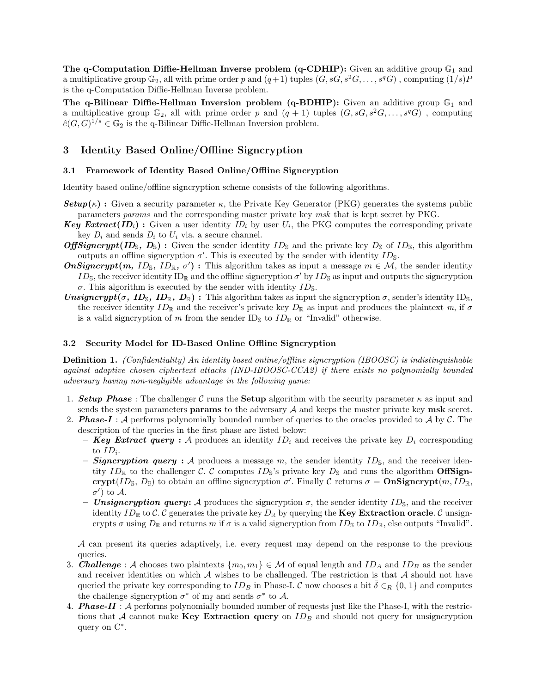The q-Computation Diffie-Hellman Inverse problem (q-CDHIP): Given an additive group  $\mathbb{G}_1$  and a multiplicative group  $\mathbb{G}_2$ , all with prime order p and  $(q+1)$  tuples  $(G, sG, s^2G, \ldots, s^qG)$ , computing  $(1/s)P$ is the q-Computation Diffie-Hellman Inverse problem.

The q-Bilinear Diffie-Hellman Inversion problem (q-BDHIP): Given an additive group  $\mathbb{G}_1$  and a multiplicative group  $\mathbb{G}_2$ , all with prime order p and  $(q + 1)$  tuples  $(G, sG, s^2G, \ldots, s^qG)$ , computing  $\hat{e}(G, G)^{1/s} \in \mathbb{G}_2$  is the q-Bilinear Diffie-Hellman Inversion problem.

## 3 Identity Based Online/Offline Signcryption

#### 3.1 Framework of Identity Based Online/Offline Signcryption

Identity based online/offline signcryption scheme consists of the following algorithms.

- **Setup**( $\kappa$ ) : Given a security parameter  $\kappa$ , the Private Key Generator (PKG) generates the systems public parameters params and the corresponding master private key msk that is kept secret by PKG.
- **Key Extract**(ID<sub>i</sub>): Given a user identity  $ID_i$  by user  $U_i$ , the PKG computes the corresponding private key  $D_i$  and sends  $D_i$  to  $U_i$  via. a secure channel.
- **OffSigncrypt(ID**<sub>S</sub>,  $D_{\text{S}}$ ): Given the sender identity  $ID_{\text{S}}$  and the private key  $D_{\text{S}}$  of  $ID_{\text{S}}$ , this algorithm outputs an offline signcryption  $\sigma'$ . This is executed by the sender with identity  $ID_{\mathbb{S}}$ .
- **OnSigncrypt**(m, ID<sub>S</sub>, ID<sub>R</sub>,  $\sigma'$ ): This algorithm takes as input a message  $m \in \mathcal{M}$ , the sender identity  $ID_{\mathbb{S}}$ , the receiver identity  $ID_{\mathbb{R}}$  and the offline signcryption  $\sigma'$  by  $ID_{\mathbb{S}}$  as input and outputs the signcryption σ. This algorithm is executed by the sender with identity  $ID_$ .
- **Unsigncrypt(** $\sigma$ **, ID<sub>S</sub>, ID<sub>R</sub>, D<sub>R</sub>)**: This algorithm takes as input the signcryption  $\sigma$ , sender's identity ID<sub>S</sub>, the receiver identity  $ID_{\mathbb{R}}$  and the receiver's private key  $D_{\mathbb{R}}$  as input and produces the plaintext m, if  $\sigma$ is a valid signcryption of m from the sender  $ID_{\mathcal{S}}$  to  $ID_{\mathcal{R}}$  or "Invalid" otherwise.

#### 3.2 Security Model for ID-Based Online Offline Signcryption

Definition 1. (Confidentiality) An identity based online/offline signcryption (IBOOSC) is indistinguishable against adaptive chosen ciphertext attacks (IND-IBOOSC-CCA2) if there exists no polynomially bounded adversary having non-negligible advantage in the following game:

- 1. **Setup Phase** : The challenger C runs the **Setup** algorithm with the security parameter  $\kappa$  as input and sends the system parameters **params** to the adversary  $A$  and keeps the master private key **msk** secret.
- 2. **Phase-I**: A performs polynomially bounded number of queries to the oracles provided to A by C. The description of the queries in the first phase are listed below:
	- **Key Extract query**: A produces an identity  $ID_i$  and receives the private key  $D_i$  corresponding to  $ID_i$ .
	- **Signcryption query :** A produces a message m, the sender identity  $ID_{\mathbb{S}}$ , and the receiver identity  $ID_{\mathbb{R}}$  to the challenger C. C computes  $ID_{\mathbb{S}}$ 's private key  $D_{\mathbb{S}}$  and runs the algorithm **OffSign**crypt(ID<sub>S</sub>, D<sub>S</sub>) to obtain an offline signcryption  $\sigma'$ . Finally C returns  $\sigma = \text{OnSigner}$ ypt $(m, ID_{\mathbb{R}},$  $\sigma'$ ) to  $\mathcal{A}$ .
	- Unsigncryption query: A produces the signcryption  $\sigma$ , the sender identity  $ID_{\mathbb{S}}$ , and the receiver identity  $ID_{\mathbb{R}}$  to C. C generates the private key  $D_{\mathbb{R}}$  by querying the **Key Extraction oracle**. C unsigncrypts  $\sigma$  using  $D_{\mathbb{R}}$  and returns m if  $\sigma$  is a valid signcryption from  $ID_{\mathbb{S}}$  to  $ID_{\mathbb{R}}$ , else outputs "Invalid".

A can present its queries adaptively, i.e. every request may depend on the response to the previous queries.

- 3. **Challenge**: A chooses two plaintexts  $\{m_0, m_1\} \in \mathcal{M}$  of equal length and  $ID_A$  and  $ID_B$  as the sender and receiver identities on which  $A$  wishes to be challenged. The restriction is that  $A$  should not have queried the private key corresponding to  $ID_B$  in Phase-I. C now chooses a bit  $\overline{\delta} \in_R \{0, 1\}$  and computes the challenge signcryption  $\sigma^*$  of  $m_{\bar{\delta}}$  and sends  $\sigma^*$  to A.
- 4. **Phase-II** :  $\mathcal{A}$  performs polynomially bounded number of requests just like the Phase-I, with the restrictions that A cannot make Key Extraction query on  $ID_B$  and should not query for unsigncryption query on  $\mathrm{C}^*$ .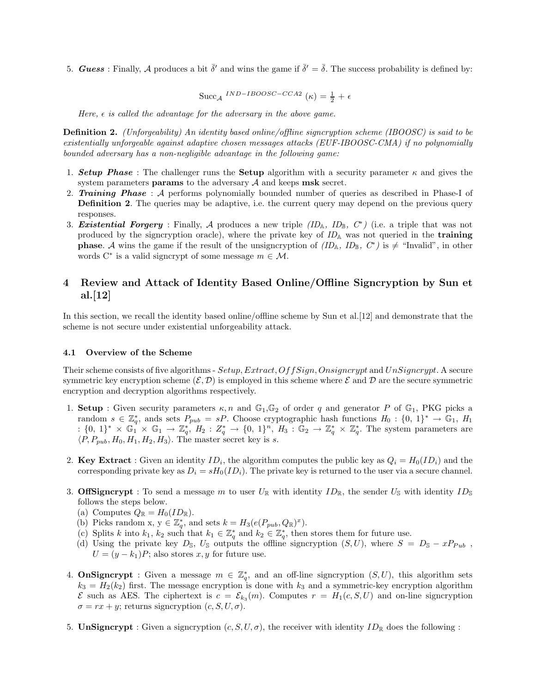5. **Guess**: Finally, A produces a bit  $\bar{\delta}'$  and wins the game if  $\bar{\delta}' = \bar{\delta}$ . The success probability is defined by:

$$
Succ_{\mathcal{A}} \, {}^{IND-IBOOSC-CCA2} \left( \kappa \right) = \frac{1}{2} + \epsilon
$$

Here,  $\epsilon$  is called the advantage for the adversary in the above game.

**Definition 2.** (Unforgeability) An identity based online/offline signcryption scheme (IBOOSC) is said to be existentially unforgeable against adaptive chosen messages attacks (EUF-IBOOSC-CMA) if no polynomially bounded adversary has a non-negligible advantage in the following game:

- 1. Setup Phase : The challenger runs the Setup algorithm with a security parameter  $\kappa$  and gives the system parameters **params** to the adversary  $A$  and keeps msk secret.
- 2. **Training Phase**: A performs polynomially bounded number of queries as described in Phase-I of **Definition 2.** The queries may be adaptive, i.e. the current query may depend on the previous query responses.
- 3. Existential Forgery: Finally, A produces a new triple  $(ID_A, ID_B, C^*)$  (i.e. a triple that was not produced by the signcryption oracle), where the private key of  $ID<sub>A</sub>$  was not queried in the **training phase.** A wins the game if the result of the unsigncryption of  $(ID_{\mathbb{A}}, ID_{\mathbb{B}}, C^*)$  is  $\neq$  "Invalid", in other words  $C^*$  is a valid signcrypt of some message  $m \in \mathcal{M}$ .

# 4 Review and Attack of Identity Based Online/Offline Signcryption by Sun et al. $|12|$

In this section, we recall the identity based online/offline scheme by Sun et al.[12] and demonstrate that the scheme is not secure under existential unforgeability attack.

#### 4.1 Overview of the Scheme

Their scheme consists of five algorithms - Setup, Extract, OffSign, Onsigncrypt and UnSigncrypt. A secure symmetric key encryption scheme  $(\mathcal{E}, \mathcal{D})$  is employed in this scheme where  $\mathcal E$  and  $\mathcal D$  are the secure symmetric encryption and decryption algorithms respectively.

- 1. Setup : Given security parameters  $\kappa$ , n and  $\mathbb{G}_1$ ,  $\mathbb{G}_2$  of order q and generator P of  $\mathbb{G}_1$ , PKG picks a random  $s \in \mathbb{Z}_q^*$ , ands sets  $P_{pub} = sP$ . Choose cryptographic hash functions  $H_0: \{0, 1\}^* \to \mathbb{G}_1$ ,  $H_1$  $\mathfrak{g}: \{0, 1\}^* \times \mathbb{G}_1^* \times \mathbb{G}_1 \to \mathbb{Z}_q^*, H_2: \mathbb{Z}_q^* \to \{0, 1\}^n, H_3: \mathbb{G}_2 \to \mathbb{Z}_q^* \times \mathbb{Z}_q^*.$  The system parameters are  $\langle P, P_{pub}, H_0, H_1, H_2, H_3 \rangle$ . The master secret key is s.
- 2. Key Extract : Given an identity  $ID_i$ , the algorithm computes the public key as  $Q_i = H_0(ID_i)$  and the corresponding private key as  $D_i = sH_0(ID_i)$ . The private key is returned to the user via a secure channel.
- 3. OffSigncrypt : To send a message m to user  $U_{\mathbb{R}}$  with identity  $ID_{\mathbb{R}}$ , the sender  $U_{\mathbb{S}}$  with identity  $ID_{\mathbb{S}}$ follows the steps below.
	- (a) Computes  $Q_{\mathbb{R}} = H_0(ID_{\mathbb{R}})$ .
	- (b) Picks random x,  $y \in \mathbb{Z}_q^*$ , and sets  $k = H_3(e(P_{pub}, Q_{\mathbb{R}})^x)$ .
	- (c) Splits k into  $k_1, k_2$  such that  $k_1 \in \mathbb{Z}_q^*$  and  $k_2 \in \mathbb{Z}_q^*$ , then stores them for future use.
	- (d) Using the private key  $D_s$ ,  $U_s$  outputs the offline signcryption  $(S, U)$ , where  $S = D_s xP_{Pub}$ ,  $U = (y - k_1)P$ ; also stores x, y for future use.
- 4. **OnSigncrypt** : Given a message  $m \in \mathbb{Z}_q^*$ , and an off-line signcryption  $(S, U)$ , this algorithm sets  $k_3 = H_2(k_2)$  first. The message encryption is done with  $k_3$  and a symmetric-key encryption algorithm  $\mathcal E$  such as AES. The ciphertext is  $c = \mathcal E_{k_3}(m)$ . Computes  $r = H_1(c, S, U)$  and on-line signcryption  $\sigma = rx + y$ ; returns signcryption  $(c, S, U, \sigma)$ .
- 5. UnSigncrypt : Given a signcryption  $(c, S, U, \sigma)$ , the receiver with identity  $ID_{\mathbb{R}}$  does the following :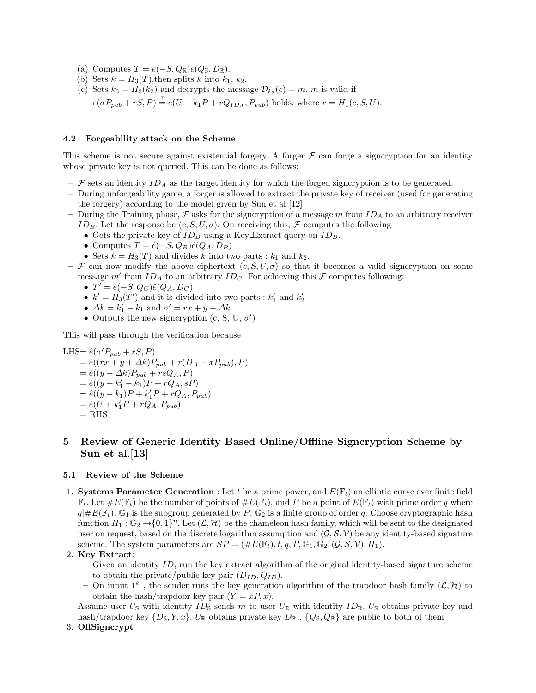- (a) Computes  $T = e(-S, Q_{\mathbb{R}})e(Q_{\mathbb{S}}, D_{\mathbb{R}}).$
- (b) Sets  $k = H_3(T)$ , then splits k into  $k_1, k_2$ .
- (c) Sets  $k_3 = H_2(k_2)$  and decrypts the message  $\mathcal{D}_{k_3}(c) = m$ . m is valid if  $e(\sigma P_{pub} + rS, P) \stackrel{?}{=} e(U + k_1P + rQ_{ID_A}, P_{pub})$  holds, where  $r = H_1(c, S, U)$ .

#### 4.2 Forgeability attack on the Scheme

This scheme is not secure against existential forgery. A forger  $\mathcal F$  can forge a signcryption for an identity whose private key is not queried. This can be done as follows:

- $\mathcal F$  sets an identity  $ID_A$  as the target identity for which the forged signcryption is to be generated.
- During unforgeability game, a forger is allowed to extract the private key of receiver (used for generating the forgery) according to the model given by Sun et al [12]
- During the Training phase,  $\mathcal F$  asks for the signcryption of a message m from  $ID_A$  to an arbitrary receiver ID<sub>B</sub>. Let the response be  $(c, S, U, \sigma)$ . On receiving this, F computes the following
	- Gets the private key of  $ID_B$  using a Key Extract query on  $ID_B$ .
	- Computes  $T = \hat{e}(-S, Q_B)\hat{e}(Q_A, D_B)$
	- Sets  $k = H_3(T)$  and divides k into two parts :  $k_1$  and  $k_2$ .
- F can now modify the above ciphertext  $(c, S, U, \sigma)$  so that it becomes a valid signcryption on some message m' from  $ID_A$  to an arbitrary  $ID_C$ . For achieving this  $\mathcal F$  computes following:
	- $T' = \hat{e}(-S, Q_C)\hat{e}(Q_A, D_C)$
	- $k' = H_3(T')$  and it is divided into two parts :  $k'_1$  and  $k'_2$
	- $\Delta k = k_1' k_1$  and  $\sigma' = rx + y + \Delta k$
	- Outputs the new signcryption  $(c, S, U, \sigma')$

This will pass through the verification because

LHS= 
$$
\hat{e}(\sigma' P_{pub} + rS, P)
$$
  
\n=  $\hat{e}((rx + y + \Delta k)P_{pub} + r(D_A - xP_{pub}), P)$   
\n=  $\hat{e}((y + \Delta k)P_{pub} + rsQ_A, P)$   
\n=  $\hat{e}((y + k'_1 - k_1)P + rQ_A, sP)$   
\n=  $\hat{e}((y - k_1)P + k'_1P + rQ_A, P_{pub})$   
\n=  $\hat{e}(U + k'_1P + rQ_A, P_{pub})$   
\n= RHS

# 5 Review of Generic Identity Based Online/Offline Signcryption Scheme by Sun et al.<sup>[13]</sup>

#### 5.1 Review of the Scheme

1. Systems Parameter Generation : Let t be a prime power, and  $E(\mathbb{F}_t)$  an elliptic curve over finite field  $\mathbb{F}_t$ . Let  $\#E(\mathbb{F}_t)$  be the number of points of  $\#E(\mathbb{F}_t)$ , and P be a point of  $E(\mathbb{F}_t)$  with prime order q where  $q\|\#E(\mathbb{F}_t)$ . G<sub>1</sub> is the subgroup generated by P. G<sub>2</sub> is a finite group of order q. Choose cryptographic hash function  $H_1: \mathbb{G}_2 \to \{0,1\}^n$ . Let  $(\mathcal{L}, \mathcal{H})$  be the chameleon hash family, which will be sent to the designated user on request, based on the discrete logarithm assumption and  $(\mathcal{G}, \mathcal{S}, \mathcal{V})$  be any identity-based signature scheme. The system parameters are  $SP = (\#E(\mathbb{F}_t), t, q, P, \mathbb{G}_1, \mathbb{G}_2, (\mathcal{G}, \mathcal{S}, \mathcal{V}), H_1)$ .

#### 2. Key Extract:

- $-$  Given an identity ID, run the key extract algorithm of the original identity-based signature scheme to obtain the private/public key pair  $(D_{ID}, Q_{ID})$ .
- On input  $1^k$ , the sender runs the key generation algorithm of the trapdoor hash family  $(\mathcal{L}, \mathcal{H})$  to obtain the hash/trapdoor key pair  $(Y = xP, x)$ .

Assume user  $U_{\mathbb{S}}$  with identity  $ID_{\mathbb{S}}$  sends m to user  $U_{\mathbb{R}}$  with identity  $ID_{\mathbb{R}}$ .  $U_{\mathbb{S}}$  obtains private key and hash/trapdoor key  $\{D_{\mathbb{S}}, Y, x\}$ .  $U_{\mathbb{R}}$  obtains private key  $D_{\mathbb{R}}$ .  $\{Q_{\mathbb{S}}, Q_{\mathbb{R}}\}$  are public to both of them.

#### 3. OffSigncrypt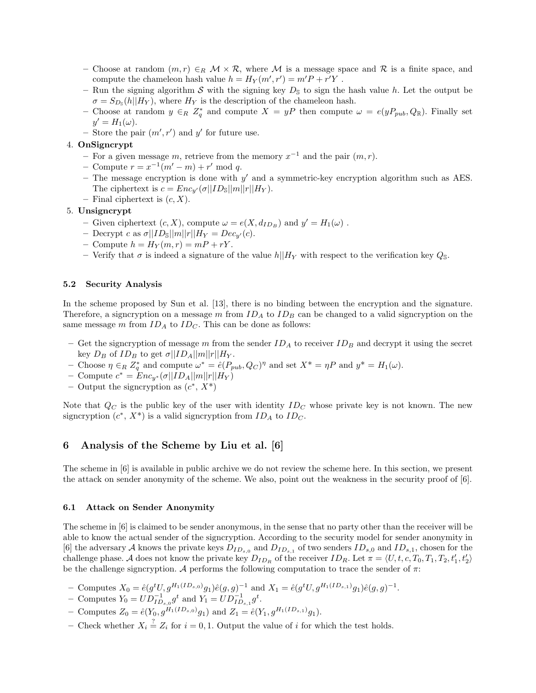- Choose at random  $(m, r) \in_R \mathcal{M} \times \mathcal{R}$ , where M is a message space and R is a finite space, and compute the chameleon hash value  $h = H_Y(m', r') = m'P + r'Y$ .
- Run the signing algorithm S with the signing key  $D_{\mathbb{S}}$  to sign the hash value h. Let the output be  $\sigma = S_{D_{\rm S}}(h||H_Y)$ , where  $H_Y$  is the description of the chameleon hash.
- Choose at random  $y \in_R Z_q^*$  and compute  $X = yP$  then compute  $\omega = e(yP_{pub}, Q_{\mathbb{R}})$ . Finally set  $y' = H_1(\omega)$ .
- Store the pair  $(m', r')$  and y' for future use.

#### 4. OnSigncrypt

- For a given message m, retrieve from the memory  $x^{-1}$  and the pair  $(m, r)$ .
- $-$  Compute  $r = x^{-1}(m' m) + r' \mod q$ .
- The message encryption is done with  $y'$  and a symmetric-key encryption algorithm such as AES. The ciphertext is  $c = Enc_{y'}(\sigma ||ID_{\mathbb{S}}||m||r||H_Y)$ .
- Final ciphertext is  $(c, X)$ .

### 5. Unsigncrypt

- Given ciphertext  $(c, X)$ , compute  $\omega = e(X, d_{ID_B})$  and  $y' = H_1(\omega)$ .
- Decrypt c as  $\sigma ||ID_{\mathcal{S}}||m||r||H_Y = Dec_{y'}(c)$ .
- Compute  $h = H_Y(m, r) = mP + rY$ .
- Verify that  $\sigma$  is indeed a signature of the value h||H<sub>Y</sub> with respect to the verification key  $Q_{\mathbb{S}}$ .

#### 5.2 Security Analysis

In the scheme proposed by Sun et al. [13], there is no binding between the encryption and the signature. Therefore, a signcryption on a message m from  $ID<sub>A</sub>$  to  $ID<sub>B</sub>$  can be changed to a valid signcryption on the same message m from  $ID_A$  to  $ID_C$ . This can be done as follows:

- Get the signcryption of message m from the sender  $ID_A$  to receiver  $ID_B$  and decrypt it using the secret key  $D_B$  of  $ID_B$  to get  $\sigma ||ID_A||m||r||H_Y$ .
- Choose  $\eta \in_R Z_q^*$  and compute  $\omega^* = \hat{e}(P_{pub}, Q_C)^{\eta}$  and set  $X^* = \eta P$  and  $y^* = H_1(\omega)$ .
- $-$  Compute  $c^* = \text{Enc}_{y^*}(\sigma || ID_A||m||r||H_Y)$
- Output the signcryption as  $(c^*, X^*)$

Note that  $Q_C$  is the public key of the user with identity  $ID_C$  whose private key is not known. The new signcryption  $(c^*, X^*)$  is a valid signcryption from  $ID_A$  to  $ID_C$ .

#### 6 Analysis of the Scheme by Liu et al. [6]

The scheme in [6] is available in public archive we do not review the scheme here. In this section, we present the attack on sender anonymity of the scheme. We also, point out the weakness in the security proof of [6].

#### 6.1 Attack on Sender Anonymity

The scheme in [6] is claimed to be sender anonymous, in the sense that no party other than the receiver will be able to know the actual sender of the signcryption. According to the security model for sender anonymity in [6] the adversary A knows the private keys  $D_{ID_{s,0}}$  and  $D_{ID_{s,1}}$  of two senders  $ID_{s,0}$  and  $ID_{s,1}$ , chosen for the challenge phase. A does not know the private key  $D_{ID_R}$  of the receiver  $ID_R$ . Let  $\pi = \langle U, t, c, T_0, T_1, T_2, t'_1, t'_2 \rangle$ be the challenge signcryption. A performs the following computation to trace the sender of  $\pi$ :

- Computes  $X_0 = \hat{e}(g^t U, g^{H_1(ID_{s,0})}g_1)\hat{e}(g,g)^{-1}$  and  $X_1 = \hat{e}(g^t U, g^{H_1(ID_{s,1})}g_1)\hat{e}(g,g)^{-1}$ .
- − Computes  $Y_0 = UD_{ID_{s,0}}^{-1}g^t$  and  $Y_1 = UD_{ID_{s,1}}^{-1}g^t$ .
- Computes  $Z_0 = \hat{e}(Y_0, g^{H_1(ID_{s,0})}g_1)$  and  $Z_1 = \hat{e}(Y_1, g^{H_1(ID_{s,1})}g_1)$ .
- Check whether  $X_i \stackrel{?}{=} Z_i$  for  $i = 0, 1$ . Output the value of i for which the test holds.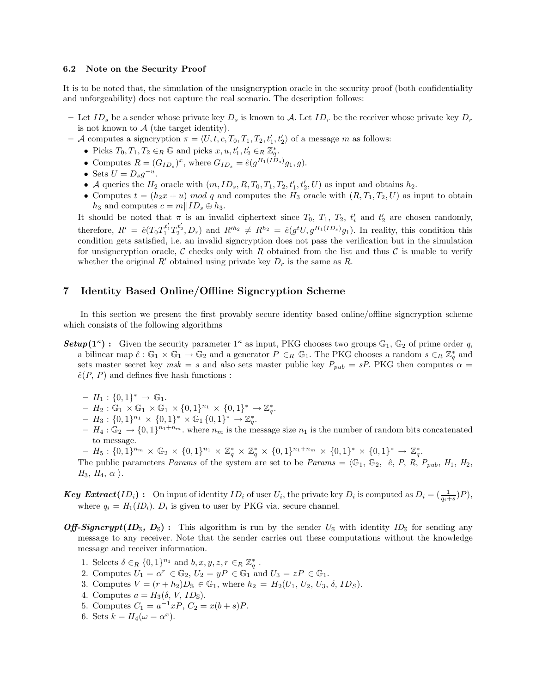#### 6.2 Note on the Security Proof

It is to be noted that, the simulation of the unsigncryption oracle in the security proof (both confidentiality and unforgeability) does not capture the real scenario. The description follows:

- Let  $ID_s$  be a sender whose private key  $D_s$  is known to A. Let  $ID_r$  be the receiver whose private key  $D_r$ is not known to  $A$  (the target identity).
- $-$  A computes a signcryption  $\pi = \langle U, t, c, T_0, T_1, T_2, t'_1, t'_2 \rangle$  of a message m as follows:
	- Picks  $T_0, T_1, T_2 \in_R \mathbb{G}$  and picks  $x, u, t'_1, t'_2 \in_R \mathbb{Z}_q^*$ .
	- Computes  $R = (G_{ID_s})^x$ , where  $G_{ID_s} = \hat{e}(g^{H_1(ID_s)}g_1, g)$ .
	- Sets  $U = D_s g^{-u}$ .
	- A queries the  $H_2$  oracle with  $(m, ID_s, R, T_0, T_1, T_2, t'_1, t'_2, U)$  as input and obtains  $h_2$ .
	- Computes  $t = (h_2x + u) \mod q$  and computes the  $H_3$  oracle with  $(R, T_1, T_2, U)$  as input to obtain  $h_3$  and computes  $c = m||ID_s \oplus h_3$ .

It should be noted that  $\pi$  is an invalid ciphertext since  $T_0$ ,  $T_1$ ,  $T_2$ ,  $t'_i$  and  $t'_2$  are chosen randomly, therefore,  $R' = \hat{e}(T_0 T_1^{t'_1} T_2^{t'_2}, D_r)$  and  $R'^{h_2} \neq R^{h_2} = \hat{e}(g^t U, g^{H_1(ID_s)}g_1)$ . In reality, this condition this condition gets satisfied, i.e. an invalid signcryption does not pass the verification but in the simulation for unsigncryption oracle, C checks only with R obtained from the list and thus C is unable to verify whether the original R' obtained using private key  $D_r$  is the same as R.

## 7 Identity Based Online/Offline Signcryption Scheme

In this section we present the first provably secure identity based online/offline signcryption scheme which consists of the following algorithms

- **Setup(1<sup>k</sup>)**: Given the security parameter  $1^k$  as input, PKG chooses two groups  $\mathbb{G}_1$ ,  $\mathbb{G}_2$  of prime order q, a bilinear map  $\hat{e}: \mathbb{G}_1 \times \mathbb{G}_1 \to \mathbb{G}_2$  and a generator  $P \in_R \mathbb{G}_1$ . The PKG chooses a random  $s \in_R \mathbb{Z}_q^*$  and sets master secret key  $msk = s$  and also sets master public key  $P_{pub} = sP$ . PKG then computes  $\alpha =$  $\hat{e}(P, P)$  and defines five hash functions :
	- $H_1 : \{0,1\}^* \to \mathbb{G}_1.$
	- $H_2 : \mathbb{G}_1 \times \mathbb{G}_1 \times \mathbb{G}_1 \times \{0,1\}^{n_1} \times \{0,1\}^* \to \mathbb{Z}_q^*.$
	- $H_3: \{0,1\}^{n_1} \times \{0,1\}^* \times \mathbb{G}_1 \{0,1\}^* \to \mathbb{Z}_q^*$ .
	- $H_4: \mathbb{G}_2 \to \{0,1\}^{n_1+n_m}$ , where  $n_m$  is the message size  $n_1$  is the number of random bits concatenated to message.
	- $-H_5: \{0,1\}^{n_m} \times \mathbb{G}_2 \times \{0,1\}^{n_1} \times \mathbb{Z}_q^* \times \mathbb{Z}_q^* \times \{0,1\}^{n_1+n_m} \times \{0,1\}^* \times \{0,1\}^* \to \mathbb{Z}_q^*.$
	- The public parameters Params of the system are set to be Params =  $\langle \mathbb{G}_1, \mathbb{G}_2, \hat{e}, P, R, P_{pub}, H_1, H_2, \rangle$  $H_3$ ,  $H_4$ ,  $\alpha$  ).
- **Key Extract**(ID<sub>i</sub>): On input of identity ID<sub>i</sub> of user  $U_i$ , the private key  $D_i$  is computed as  $D_i = (\frac{1}{q_i+s})P$ , where  $q_i = H_1(ID_i)$ .  $D_i$  is given to user by PKG via. secure channel.
- **Off-Signcrypt(ID**<sub>S</sub>,  $D_{\rm S}$ ): This algorithm is run by the sender  $U_{\rm S}$  with identity ID<sub>S</sub> for sending any message to any receiver. Note that the sender carries out these computations without the knowledge message and receiver information.
	- 1. Selects  $\delta \in_R \{0,1\}^{n_1}$  and  $b, x, y, z, r \in_R \mathbb{Z}_q^*$ .
	- 2. Computes  $U_1 = \alpha^r \in \mathbb{G}_2$ ,  $U_2 = yP \in \mathbb{G}_1$  and  $U_3 = zP \in \mathbb{G}_1$ .
	- 3. Computes  $V = (r + h_2)D_s \in \mathbb{G}_1$ , where  $h_2 = H_2(U_1, U_2, U_3, \delta, ID_s)$ .
	- 4. Computes  $a = H_3(\delta, V, ID_{\mathbb{S}})$ .
	- 5. Computes  $C_1 = a^{-1}xP, C_2 = x(b+s)P.$
	- 6. Sets  $k = H_4(\omega = \alpha^x)$ .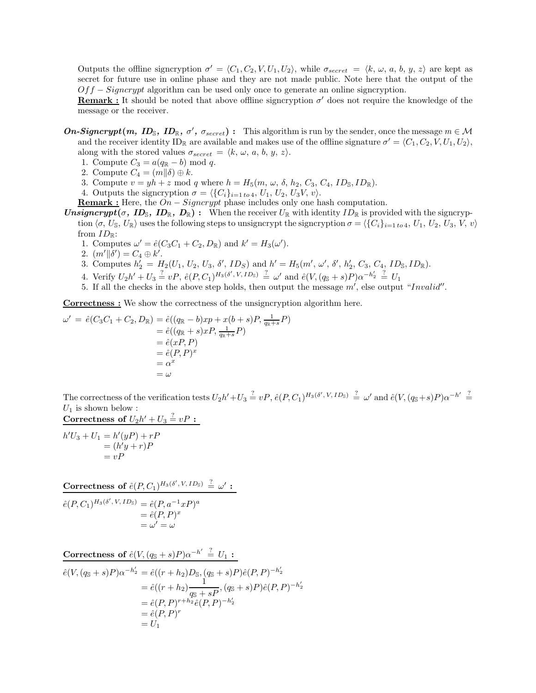Outputs the offline signcryption  $\sigma' = \langle C_1, C_2, V, U_1, U_2 \rangle$ , while  $\sigma_{secret} = \langle k, \omega, a, b, y, z \rangle$  are kept as secret for future use in online phase and they are not made public. Note here that the output of the  $Off-Siqncrypt$  algorithm can be used only once to generate an online signcryption.

**Remark :** It should be noted that above offline signcryption  $\sigma'$  does not require the knowledge of the message or the receiver.

**On-Signcrypt**(m, **ID**<sub>S</sub>, **ID**<sub>R</sub>,  $\sigma'$ ,  $\sigma_{secret}$ ): This algorithm is run by the sender, once the message  $m \in \mathcal{M}$ and the receiver identity  $ID_{\mathbb{R}}$  are available and makes use of the offline signature  $\sigma' = \langle C_1, C_2, V, U_1, U_2 \rangle$ , along with the stored values  $\sigma_{secret} = \langle k, \omega, a, b, y, z \rangle$ .

- 1. Compute  $C_3 = a(q_{\mathbb{R}} b) \text{ mod } q$ .
- 2. Compute  $C_4 = (m||\delta) \oplus k$ .
- 3. Compute  $v = yh + z \mod q$  where  $h = H_5(m, \omega, \delta, h_2, C_3, C_4, ID_{\mathbb{S}}, ID_{\mathbb{R}})$ .
- 4. Outputs the signcryption  $\sigma = \langle \{C_i\}_{i=1 \text{ to } 4}, U_1, U_2, U_3V, v \rangle$ .
- **Remark :** Here, the  $On-Signcrypt$  phase includes only one hash computation.
- **Unsigncrypt(** $\sigma$ **, ID<sub>S</sub>, ID<sub>R</sub>, D<sub>R</sub>)**: When the receiver  $U_R$  with identity  $ID_R$  is provided with the signcryption  $\langle \sigma, U_{\mathbb{S}}, U_{\mathbb{R}} \rangle$  uses the following steps to unsigncrypt the signcryption  $\sigma = \langle \{C_i\}_{i=1 \text{ to } 4}, U_1, U_2, U_3, V, v \rangle$ from  $ID_{\mathbb{R}}$ :
	- 1. Computes  $\omega' = \hat{e}(C_3C_1 + C_2, D_{\mathbb{R}})$  and  $k' = H_3(\omega')$ .
	- 2.  $(m' \mid \delta') = C_4 \oplus k'.$
	- 3. Computes  $h'_2 = H_2(U_1, U_2, U_3, \delta', ID_S)$  and  $h' = H_5(m', \omega', \delta', h'_2, C_3, C_4, ID_S, ID_R)$ .
	- 4. Verify  $U_2h' + U_3 \stackrel{?}{=} vP$ ,  $\hat{e}(P, C_1)^{H_3(\delta', V, ID_3)} \stackrel{?}{=} \omega'$  and  $\hat{e}(V, (q_S + s)P)\alpha^{-h'_2} \stackrel{?}{=} U_1$
	- 5. If all the checks in the above step holds, then output the message  $m'$ , else output "Invalid".

Correctness : We show the correctness of the unsigncryption algorithm here.

$$
\omega' = \hat{e}(C_3C_1 + C_2, D_{\mathbb{R}}) = \hat{e}((q_{\mathbb{R}} - b)xp + x(b + s)P, \frac{1}{q_{\mathbb{R}}+s}P)
$$
  

$$
= \hat{e}((q_{\mathbb{R}} + s)xP, \frac{1}{q_{\mathbb{R}}+s}P)
$$
  

$$
= \hat{e}(xP, P)
$$
  

$$
= \hat{e}(P, P)^x
$$
  

$$
= \alpha^x
$$
  

$$
= \omega
$$

The correctness of the verification tests  $U_2h' + U_3 \stackrel{?}{=} vP$ ,  $\hat{e}(P, C_1)^{H_3(\delta', V, ID_3)} \stackrel{?}{=} \omega'$  and  $\hat{e}(V, (q_3 + s)P)\alpha^{-h'} \stackrel{?}{=}$  $U_1$  is shown below :

Correctness of  $U_2 h' + U_3 \stackrel{?}{=} vP$  :

$$
h'U_3 + U_1 = h'(yP) + rP
$$
  
=  $(h'y + r)P$   
=  $vP$ 

Correctness of  $\hat{e}(P,C_1)^{H_3(\delta',\,V,\,ID_{\mathbb{S}})}\ \frac{?}{=} \ \omega'$ :

$$
\begin{aligned} \hat{e}(P, C_1)^{H_3(\delta', V, ID_\mathbb{S})} &= \hat{e}(P, a^{-1}xP)^a \\ &= \hat{e}(P, P)^x \\ &= \omega' = \omega \end{aligned}
$$

Correctness of  $\hat{e}(V,(q_{{\mathbb{S}}}+s)P)\alpha^{-h'} \stackrel{?}{=} U_1$ :

$$
\begin{aligned} \hat{e}(V, (q_{\mathbb{S}} + s)P)\alpha^{-h_2'} &= \hat{e}((r + h_2)D_{\mathbb{S}}, (q_{\mathbb{S}} + s)P)\hat{e}(P, P)^{-h_2'}\\ &= \hat{e}((r + h_2)\frac{1}{q_{\mathbb{S}} + sP}, (q_{\mathbb{S}} + s)P)\hat{e}(P, P)^{-h_2'}\\ &= \hat{e}(P, P)^{r + h_2}\hat{e}(P, P)^{-h_2'}\\ &= \hat{e}(P, P)^r\\ &= U_1 \end{aligned}
$$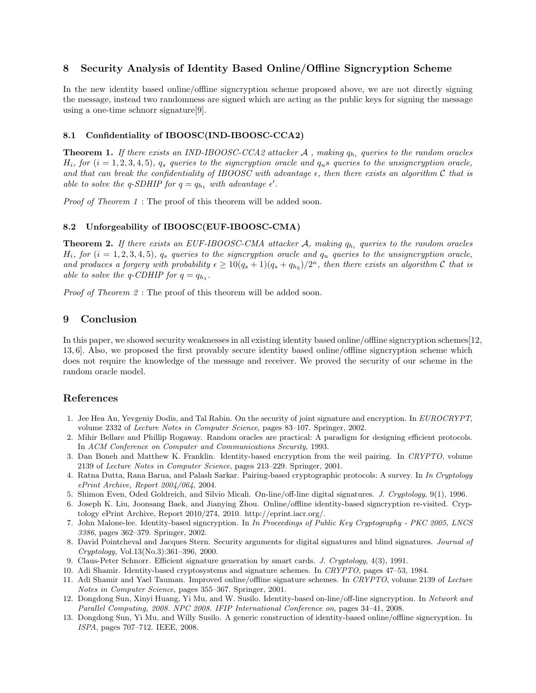## 8 Security Analysis of Identity Based Online/Offline Signcryption Scheme

In the new identity based online/offline signcryption scheme proposed above, we are not directly signing the message, instead two randomness are signed which are acting as the public keys for signing the message using a one-time schnorr signature[9].

### 8.1 Confidentiality of IBOOSC(IND-IBOOSC-CCA2)

**Theorem 1.** If there exists an IND-IBOOSC-CCA2 attacker A , making  $q_{h_i}$  queries to the random oracles  $H_i$ , for  $(i = 1, 2, 3, 4, 5)$ ,  $q_s$  queries to the signcryption oracle and  $q_u s$  queries to the unsigncryption oracle, and that can break the confidentiality of IBOOSC with advantage  $\epsilon$ , then there exists an algorithm C that is able to solve the q-SDHIP for  $q = q_{h_1}$  with advantage  $\epsilon'$ .

Proof of Theorem 1 : The proof of this theorem will be added soon.

### 8.2 Unforgeability of IBOOSC(EUF-IBOOSC-CMA)

**Theorem 2.** If there exists an EUF-IBOOSC-CMA attacker A, making  $q_{h_i}$  queries to the random oracles  $H_i$ , for  $(i = 1, 2, 3, 4, 5)$ ,  $q_s$  queries to the signcryption oracle and  $q_u$  queries to the unsigncryption oracle, and produces a forgery with probability  $\epsilon \geq 10(q_s+1)(q_s+q_{h_2})/2^{\kappa}$ , then there exists an algorithm C that is able to solve the q-CDHIP for  $q = q_{h_1}$ .

Proof of Theorem 2: The proof of this theorem will be added soon.

# 9 Conclusion

In this paper, we showed security weaknesses in all existing identity based online/offline signcryption schemes[12, 13, 6]. Also, we proposed the first provably secure identity based online/offline signcryption scheme which does not require the knowledge of the message and receiver. We proved the security of our scheme in the random oracle model.

## References

- 1. Jee Hea An, Yevgeniy Dodis, and Tal Rabin. On the security of joint signature and encryption. In EUROCRYPT, volume 2332 of Lecture Notes in Computer Science, pages 83–107. Springer, 2002.
- 2. Mihir Bellare and Phillip Rogaway. Random oracles are practical: A paradigm for designing efficient protocols. In ACM Conference on Computer and Communications Security, 1993.
- 3. Dan Boneh and Matthew K. Franklin. Identity-based encryption from the weil pairing. In CRYPTO, volume 2139 of Lecture Notes in Computer Science, pages 213–229. Springer, 2001.
- 4. Ratna Dutta, Rana Barua, and Palash Sarkar. Pairing-based cryptographic protocols: A survey. In In Cryptology ePrint Archive, Report 2004/064, 2004.
- 5. Shimon Even, Oded Goldreich, and Silvio Micali. On-line/off-line digital signatures. J. Cryptology, 9(1), 1996.
- 6. Joseph K. Liu, Joonsang Baek, and Jianying Zhou. Online/offline identity-based signcryption re-visited. Cryptology ePrint Archive, Report 2010/274, 2010. http://eprint.iacr.org/.
- 7. John Malone-lee. Identity-based signcryption. In In Proceedings of Public Key Cryptography PKC 2005, LNCS 3386, pages 362–379. Springer, 2002.
- 8. David Pointcheval and Jacques Stern. Security arguments for digital signatures and blind signatures. Journal of Cryptology, Vol.13(No.3):361–396, 2000.
- 9. Claus-Peter Schnorr. Efficient signature generation by smart cards. J. Cryptology, 4(3), 1991.
- 10. Adi Shamir. Identity-based cryptosystems and signature schemes. In CRYPTO, pages 47–53, 1984.
- 11. Adi Shamir and Yael Tauman. Improved online/offline signature schemes. In CRYPTO, volume 2139 of Lecture Notes in Computer Science, pages 355–367. Springer, 2001.
- 12. Dongdong Sun, Xinyi Huang, Yi Mu, and W. Susilo. Identity-based on-line/off-line signcryption. In Network and Parallel Computing, 2008. NPC 2008. IFIP International Conference on, pages 34–41, 2008.
- 13. Dongdong Sun, Yi Mu, and Willy Susilo. A generic construction of identity-based online/offline signcryption. In ISPA, pages 707–712. IEEE, 2008.